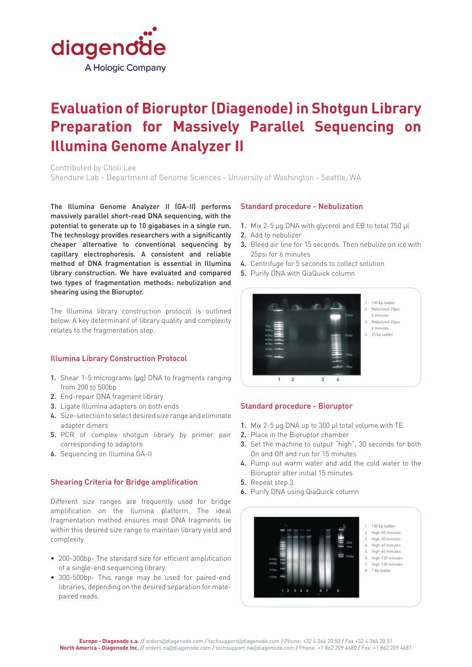

# **Evaluation of Bioruptor (Diagenode) in Shotgun Library Preparation for Massively Parallel Sequencing on Illumina Genome Analyzer II**

Contributed by Choli Lee Shendure Lab - Department of Genome Sciences - University of Washington - Seattle, WA

The Illumina Genome Analyzer II (GA-II) performs massively parallel short-read DNA sequencing, with the potential to generate up to 10 gigabases in a single run. The technology provides researchers with a significantly cheaper alternative to conventional sequencing by capillary electrophoresis. A consistent and reliable method of DNA fragmentation is essential in Illumina library construction. We have evaluated and compared two types of fragmentation methods: nebulization and shearing using the Bioruptor.

The Illumina library construction protocol is outlined below. A key determinant of library quality and complexity relates to the fragmentation step.

## Illumina Library Construction Protocol

- 1. Shear 1-5 micrograms (ug) DNA to fragments ranging from 200 to 500bp
- 2. End-repair DNA fragment library
- 3. Ligate Illumina adapters on both ends
- 4. Size-selection to select desired size range and eliminate adapter dimers
- 5. PCR of complex shotgun library by primer pair corresponding to adaptors
- 6. Sequencing on Illumina GA-II

## Shearing Criteria for Bridge amplification

Different size ranges are frequently used for bridge amplification on the Ilumina platform. The ideal fragmentation method ensures most DNA fragments lie within this desired size range to maintain library yield and complexity.

- 200-300bp- The standard size for efficient amplification of a single-end sequencing library.
- 300-500bp- This range may be used for paired-end libraries, depending on the desired separation for matepaired reads.

### Standard procedure - Nebulization

- 1. Mix 2-5 µg DNA with glycerol and EB to total 750 µl
- 2. Add to nebulizer
- 3. Bleed air line for 15 seconds. Then nebulize on ice with 25psi for 6 minutes
- 4. Centrifuge for 5 seconds to collect solution
- 5. Purify DNA with QiaQuick column



## Standard procedure - Bioruptor

- 1. Mix 2-5 µg DNA up to 300 µl total volume with TE
- 2. Place in the Bioruptor chamber
- 3. Set the machine to output "high", 30 seconds for both On and Off and run for 15 minutes
- 4. Pump out warm water and add the cold water to the Bioruptor after initial 15 minutes
- 5. Repeat step 3.
- 6. Purify DNA using QiaQuick column